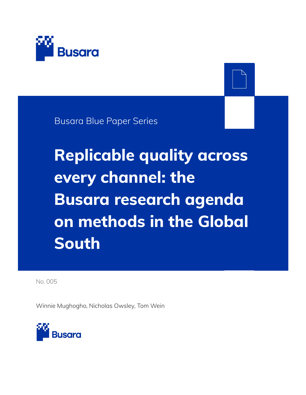

Busara Blue Paper Series

**Replicable quality across every channel: the Busara research agenda on methods in the Global South**

No. 005

Winnie Mughogho, Nicholas Owsley, Tom Wein

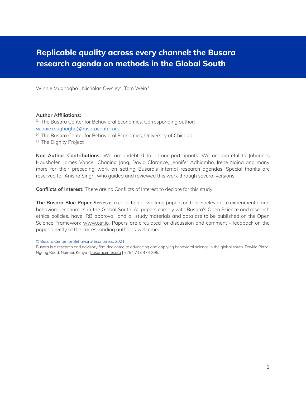## **Replicable quality across every channel: the Busara research agenda on methods in the Global South**

Winnie Mughogho<sup>1</sup>, Nicholas Owsley<sup>2</sup>, Tom Wein<sup>3</sup>

#### **Author Affiliations:**

[1] The Busara Center for Behavioral Economics. Corresponding author: [winnie.mughogho@busaracenter.org](mailto:winnie.mughogho@busaracenter.org) <sup>[2]</sup> The Busara Center for Behavioral Economics; University of Chicago [3] The Dignity Project

**Non-Author Contributions:** We are indebted to all our participants. We are grateful to Johannes Haushofer, James Vancel, Chaning Jang, David Clarance, Jennifer Adhiambo, Irene Ngina and many more for their preceding work on setting Busara's internal research agendas. Special thanks are reserved for Anisha Singh, who guided and reviewed this work through several versions.

**Conflicts of Interest:** There are no Conflicts of Interest to declare for this study

**The Busara Blue Paper Series** is a collection of working papers on topics relevant to experimental and behavioral economics in the Global South. All papers comply with Busara's Open Science and research ethics policies, have IRB approval, and all study materials and data are to be published on the Open Science Framework [www.osf.io.](http://www.osf.io) Papers are circulated for discussion and comment - feedback on the paper directly to the corresponding author is welcomed.

© Busara Center for Behavioral Economics, 2021

Busara is a research and advisory firm dedicated to advancing and applying behavioral science in the global south. Daykio Plaza, Ngong Road, Nairobi, Kenya | [busaracenter.org](https://www.busaracenter.org) | +254 713 474 296.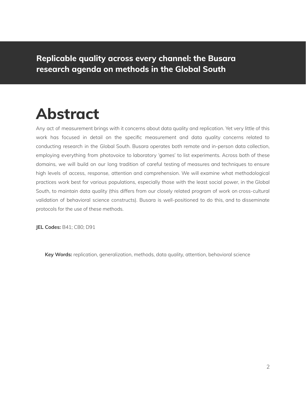**Replicable quality across every channel: the Busara research agenda on methods in the Global South**

# **Abstract**

Any act of measurement brings with it concerns about data quality and replication. Yet very little of this work has focused in detail on the specific measurement and data quality concerns related to conducting research in the Global South. Busara operates both remote and in-person data collection, employing everything from photovoice to laboratory 'games' to list experiments. Across both of these domains, we will build on our long tradition of careful testing of measures and techniques to ensure high levels of access, response, attention and comprehension. We will examine what methodological practices work best for various populations, especially those with the least social power, in the Global South, to maintain data quality (this differs from our closely related program of work on cross-cultural validation of behavioral science constructs). Busara is well-positioned to do this, and to disseminate protocols for the use of these methods.

**JEL Codes:** B41; C80; D91

**Key Words:** replication, generalization, methods, data quality, attention, behavioral science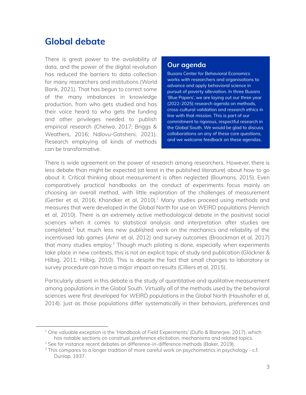# **Global debate**

There is great power to the availability of data, and the power of the digital revolution has reduced the barriers to data collection for many researchers and institutions (World Bank, 2021). That has begun to correct some of the many imbalances in knowledge production, from who gets studied and has their voice heard to who gets the funding and other privileges needed to publish empirical research (Chelwa, 2017; Briggs & Weathers, 2016; Ndlovu-Gatsheni, 2021). Research employing all kinds of methods can be transformative.

#### Our agenda

**Busara Center for Behavioral Economics** works with researchers and organisations to advance and apply behavioral science in pursuit of poverty alleviation. In three Busara 'Blue Papers', we are laying out our three year (2022-2025) research agenda on methods, cross-cultural validation and research ethics in line with that mission. This is part of our commitment to rigorous, respectful research in the Global South. We would be glad to discuss collaborations on any of these core questions, and we welcome feedback on these agendas.

There is wide agreement on the power of research among researchers. However, there is less debate than might be expected (at least in the published literature) about how to go about it. Critical thinking about measurement is often neglected (Boumans, 2015). Even comparatively practical handbooks on the conduct of experiments focus mainly on choosing an overall method, with little exploration of the challenges of measurement (Gertler et al, 2016; Khandker et al, 2010).<sup>1</sup> Many studies proceed using methods and measures that were developed in the Global North for use on WEIRD populations (Henrich et al, 2010). There is an extremely active methodological debate in the positivist social sciences when it comes to statistical analysis and interpretation after studies are completed,<sup>2</sup> but much less new published work on the mechanics and reliability of the incentivised lab games (Amir et al, 2012) and survey outcomes (Broockman et al, 2017) that many studies employ. $3$  Though much piloting is done, especially when experiments take place in new contexts, this is not an explicit topic of study and publication (Glöckner & Hilbig, 2011; Hilbig, 2010). This is despite the fact that small changes to laboratory or survey procedure can have a major impact on results (Cilliers et al, 2015).

Particularly absent in this debate is the study of quantitative and qualitative measurement among populations in the Global South. Virtually all of the methods used by the behavioral sciences were first developed for WEIRD populations in the Global North (Haushofer et al, 2014). Just as those populations differ systematically in their behaviors, preferences and

 $1$  One valuable exception is the 'Handbook of Field Experiments' (Duflo & Banerjee, 2017), which has notable sections on construal, preference elicitation, mechanisms and related topics.

 $2$  See for instance recent debates on difference-in-difference methods (Baker, 2019).

 $3$  This compares to a longer tradition of more careful work on psychometrics in psychology - c.f. Dunlap, 1937.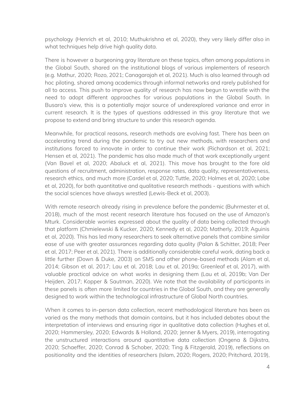psychology (Henrich et al, 2010; Muthukrishna et al, 2020), they very likely differ also in what techniques help drive high quality data.

There is however a burgeoning gray literature on these topics, often among populations in the Global South, shared on the institutional blogs of various implementers of research (e.g. Mathur, 2020; Rozo, 2021; Canagarajah et al, 2021). Much is also learned through ad hoc piloting, shared among academics through informal networks and rarely published for all to access. This push to improve quality of research has now begun to wrestle with the need to adopt different approaches for various populations in the Global South. In Busara's view, this is a potentially major source of underexplored variance and error in current research. It is the types of questions addressed in this gray literature that we propose to extend and bring structure to under this research agenda.

Meanwhile, for practical reasons, research methods are evolving fast. There has been an accelerating trend during the pandemic to try out new methods, with researchers and institutions forced to innovate in order to continue their work (Richardson et al, 2021; Hensen et al, 2021). The pandemic has also made much of that work exceptionally urgent (Van Bavel et al, 2020; Abaluck et al, 2021). This move has brought to the fore old questions of recruitment, administration, response rates, data quality, representativeness, research ethics, and much more (Cardel et al, 2020; Tuttle, 2020; Holmes et al, 2020; Lobe et al, 2020), for both quantitative and qualitative research methods - questions with which the social sciences have always wrestled (Lewis-Beck et al, 2003).

With remote research already rising in prevalence before the pandemic (Buhrmester et al, 2018), much of the most recent research literature has focused on the use of Amazon's Mturk. Considerable worries expressed about the quality of data being collected through that platform (Chmielewski & Kucker, 2020; Kennedy et al, 2020; Matherly, 2019; Aguinis et al, 2020). This has led many researchers to seek alternative panels that combine similar ease of use with greater assurances regarding data quality (Palan & Schitter, 2018; Peer et al, 2017; Peer et al, 2021). There is additionally considerable careful work, dating back a little further (Down & Duke, 2003) on SMS and other phone-based methods (Alam et al, 2014; Gibson et al, 2017; Lau et al, 2018; Lau et al, 2019a; Greenleaf et al, 2017), with valuable practical advice on what works in designing them (Lau et al, 2019b; Van Der Heijden, 2017; Kopper & Sautman, 2020). We note that the availability of participants in these panels is often more limited for countries in the Global South, and they are generally designed to work within the technological infrastructure of Global North countries.

When it comes to in-person data collection, recent methodological literature has been as varied as the many methods that domain contains, but it has included debates about the interpretation of interviews and ensuring rigor in qualitative data collection (Hughes et al, 2020; Hammersley, 2020; Edwards & Holland, 2020; Jenner & Myers, 2019), interrogating the unstructured interactions around quantitative data collection (Ongena & Dijkstra, 2020; Schaeffer, 2020; Conrad & Schober, 2020; Ting & Fitzgerald, 2019), reflections on positionality and the identities of researchers (Islam, 2020; Rogers, 2020; Pritchard, 2019),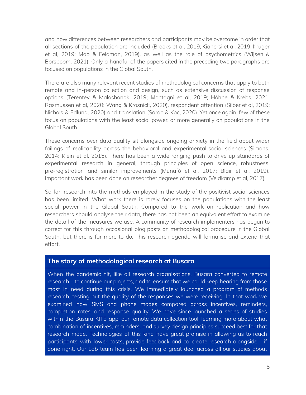and how differences between researchers and participants may be overcome in order that all sections of the population are included (Brooks et al, 2019; Kianersi et al, 2019; Kruger et al, 2019; Mao & Feldman, 2019), as well as the role of psychometrics (Wijsen & Borsboom, 2021). Only a handful of the papers cited in the preceding two paragraphs are focused on populations in the Global South.

There are also many relevant recent studies of methodological concerns that apply to both remote and in-person collection and design, such as extensive discussion of response options (Terentev & Maloshonok, 2019; Montagni et al, 2019; Höhne & Krebs, 2021; Rasmussen et al, 2020; Wang & Krosnick, 2020), respondent attention (Silber et al, 2019; Nichols & Edlund, 2020) and translation (Sarac & Koc, 2020). Yet once again, few of these focus on populations with the least social power, or more generally on populations in the Global South.

These concerns over data quality sit alongside ongoing anxiety in the field about wider failings of replicability across the behavioral and experimental social sciences (Simons, 2014; Klein et al, 2015). There has been a wide ranging push to drive up standards of experimental research in general, through principles of open science, robustness, pre-registration and similar improvements (Munafò et al, 2017; Blair et al, 2019). Important work has been done on researcher degrees of freedom (Veldkamp et al, 2017).

So far, research into the methods employed in the study of the positivist social sciences has been limited. What work there is rarely focuses on the populations with the least social power in the Global South. Compared to the work on replication and how researchers should analyse their data, there has not been an equivalent effort to examine the detail of the measures we use. A community of research implementers has begun to correct for this through occasional blog posts on methodological procedure in the Global South, but there is far more to do. This research agenda will formalise and extend that effort.

#### **The story of methodological research at Busara**

When the pandemic hit, like all research organisations, Busara converted to remote research - to continue our projects, and to ensure that we could keep hearing from those most in need during this crisis. We immediately launched a program of methods research, testing out the quality of the responses we were receiving. In that work we examined how SMS and phone modes compared across incentives, reminders, completion rates, and response quality. We have since launched a series of studies within the Busara KITE app, our remote data collection tool, learning more about what combination of incentives, reminders, and survey design principles succeed best for that research mode. Technologies of this kind have great promise in allowing us to reach participants with lower costs, provide feedback and co-create research alongside - if done right. Our Lab team has been learning a great deal across all our studies about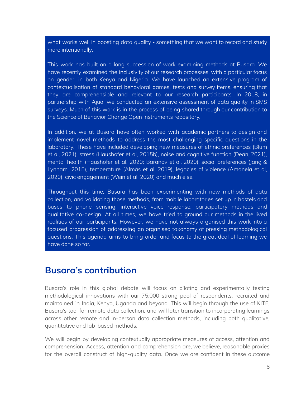what works well in boosting data quality - something that we want to record and study more intentionally.

This work has built on a long succession of work examining methods at Busara. We have recently examined the inclusivity of our research processes, with a particular focus on gender, in both Kenya and Nigeria. We have launched an extensive program of contextualisation of standard behavioral games, tests and survey items, ensuring that they are comprehensible and relevant to our research participants. In 2018, in partnership with Ajua, we conducted an extensive assessment of data quality in SMS surveys. Much of this work is in the process of being shared through our contribution to the Science of Behavior Change Open Instruments repository.

In addition, we at Busara have often worked with academic partners to design and implement novel methods to address the most challenging specific questions in the laboratory. These have included developing new measures of ethnic preferences (Blum et al, 2021), stress (Haushofer et al, 2015b), noise and cognitive function (Dean, 2021), mental health (Haushofer et al, 2020; Baranov et al, 2020), social preferences (Jang & Lynham, 2015), temperature (Almås et al, 2019), legacies of violence (Amanela et al, 2020), civic engagement (Wein et al, 2020) and much else.

Throughout this time, Busara has been experimenting with new methods of data collection, and validating those methods, from mobile laboratories set up in hostels and buses to phone sensing, interactive voice response, participatory methods and qualitative co-design. At all times, we have tried to ground our methods in the lived realities of our participants. However, we have not always organised this work into a focused progression of addressing an organised taxonomy of pressing methodological questions. This agenda aims to bring order and focus to the great deal of learning we have done so far.

## **Busara's contribution**

Busara's role in this global debate will focus on piloting and experimentally testing methodological innovations with our 75,000-strong pool of respondents, recruited and maintained in India, Kenya, Uganda and beyond. This will begin through the use of KITE, Busara's tool for remote data collection, and will later transition to incorporating learnings across other remote and in-person data collection methods, including both qualitative, quantitative and lab-based methods.

We will begin by developing contextually appropriate measures of access, attention and comprehension. Access, attention and comprehension are, we believe, reasonable proxies for the overall construct of high-quality data. Once we are confident in these outcome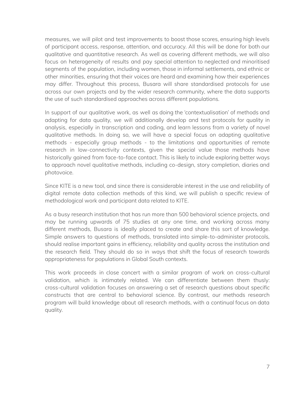measures, we will pilot and test improvements to boost those scores, ensuring high levels of participant access, response, attention, and accuracy. All this will be done for both our qualitative and quantitative research. As well as covering different methods, we will also focus on heterogeneity of results and pay special attention to neglected and minoritised segments of the population, including women, those in informal settlements, and ethnic or other minorities, ensuring that their voices are heard and examining how their experiences may differ. Throughout this process, Busara will share standardised protocols for use across our own projects and by the wider research community, where the data supports the use of such standardised approaches across different populations.

In support of our qualitative work, as well as doing the 'contextualisation' of methods and adapting for data quality, we will additionally develop and test protocols for quality in analysis, especially in transcription and coding, and learn lessons from a variety of novel qualitative methods. In doing so, we will have a special focus on adapting qualitative methods - especially group methods - to the limitations and opportunities of remote research in low-connectivity contexts, given the special value those methods have historically gained from face-to-face contact. This is likely to include exploring better ways to approach novel qualitative methods, including co-design, story completion, diaries and photovoice.

Since KITE is a new tool, and since there is considerable interest in the use and reliability of digital remote data collection methods of this kind, we will publish a specific review of methodological work and participant data related to KITE.

As a busy research institution that has run more than 500 behavioral science projects, and may be running upwards of 75 studies at any one time, and working across many different methods, Busara is ideally placed to create and share this sort of knowledge. Simple answers to questions of methods, translated into simple-to-administer protocols, should realise important gains in efficiency, reliability and quality across the institution and the research field. They should do so in ways that shift the focus of research towards appropriateness for populations in Global South contexts.

This work proceeds in close concert with a similar program of work on cross-cultural validation, which is intimately related. We can differentiate between them thusly: cross-cultural validation focuses on answering a set of research questions about specific *constructs* that are central to behavioral science. By contrast, our methods research program will build knowledge about all research methods, with a continual focus on data quality.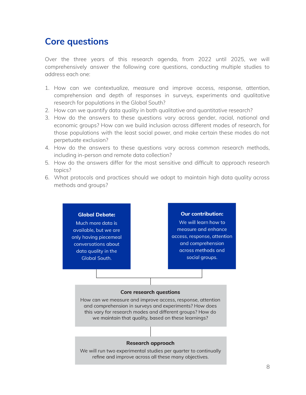# **Core questions**

Over the three years of this research agenda, from 2022 until 2025, we will comprehensively answer the following core questions, conducting multiple studies to address each one:

- 1. How can we contextualize, measure and improve access, response, attention, comprehension and depth of responses in surveys, experiments and qualitative research for populations in the Global South?
- 2. How can we quantify data quality in both qualitative and quantitative research?
- 3. How do the answers to these questions vary across gender, racial, national and economic groups? How can we build inclusion across different modes of research, for those populations with the least social power, and make certain these modes do not perpetuate exclusion?
- 4. How do the answers to these questions vary across common research methods, including in-person and remote data collection?
- 5. How do the answers differ for the most sensitive and difficult to approach research topics?
- 6. What protocols and practices should we adopt to maintain high data quality across methods and groups?

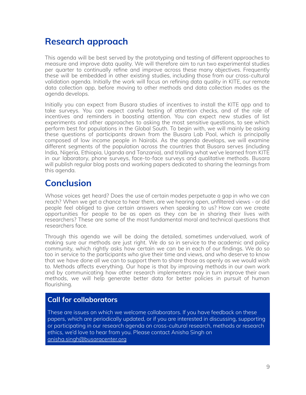# **Research approach**

This agenda will be best served by the prototyping and testing of different approaches to measure and improve data quality. We will therefore aim to run two experimental studies per quarter to continually refine and improve across these many objectives. Frequently these will be embedded in other existing studies, including those from our cross-cultural validation agenda. Initially the work will focus on refining data quality in KITE, our remote data collection app, before moving to other methods and data collection modes as the agenda develops.

Initially you can expect from Busara studies of incentives to install the KITE app and to take surveys. You can expect careful testing of attention checks, and of the role of incentives and reminders in boosting attention. You can expect new studies of list experiments and other approaches to asking the most sensitive questions, to see which perform best for populations in the Global South. To begin with, we will mainly be asking these questions of participants drawn from the Busara Lab Pool, which is principally composed of low income people in Nairobi. As the agenda develops, we will examine different segments of the population across the countries that Busara serves (including India, Nigeria, Ethiopia, Uganda and Tanzania), and trialling what we've learned from KITE in our laboratory, phone surveys, face-to-face surveys and qualitative methods. Busara will publish regular blog posts and working papers dedicated to sharing the learnings from this agenda.

# **Conclusion**

Whose voices get heard? Does the use of certain modes perpetuate a gap in who we can reach? When we get a chance to hear them, are we hearing open, unfiltered views - or did people feel obliged to give certain answers when speaking to us? How can we create opportunities for people to be as open as they can be in sharing their lives with researchers? These are some of the most fundamental moral and technical questions that researchers face.

Through this agenda we will be doing the detailed, sometimes undervalued, work of making sure our methods are just right. We do so in service to the academic and policy community, which rightly asks how certain we can be in each of our findings. We do so too in service to the participants who give their time and views, and who deserve to know that we have done all we can to support them to share those as openly as we would wish to. Methods affects everything. Our hope is that by improving methods in our own work and by communicating how other research implementers may in turn improve their own methods, we will help generate better data for better policies in pursuit of human flourishing.

### **Call for collaborators**

These are issues on which we welcome collaborators. If you have feedback on these papers, which are periodically updated, or if you are interested in discussing, supporting or participating in our research agenda on cross-cultural research, methods or research ethics, we'd love to hear from you. Please contact Anisha Singh on [anisha.singh@busaracenter.org](mailto:anisha.singh@busaracenter.org)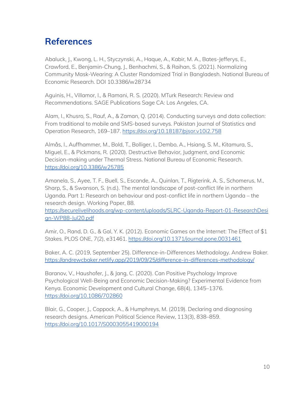# **References**

Abaluck, J., Kwong, L. H., Styczynski, A., Haque, A., Kabir, M. A., Bates-Jefferys, E., Crawford, E., Benjamin-Chung, J., Benhachmi, S., & Raihan, S. (2021). Normalizing Community Mask-Wearing: A Cluster Randomized Trial in Bangladesh. National Bureau of Economic Research. DOI 10.3386/w28734

Aguinis, H., Villamor, I., & Ramani, R. S. (2020). MTurk Research: Review and Recommendations. SAGE Publications Sage CA: Los Angeles, CA.

Alam, I., Khusro, S., Rauf, A., & Zaman, Q. (2014). Conducting surveys and data collection: From traditional to mobile and SMS-based surveys. Pakistan Journal of Statistics and Operation Research, 169–187. <https://doi.org/10.18187/pjsor.v10i2.758>

Almås, I., Auffhammer, M., Bold, T., Bolliger, I., Dembo, A., Hsiang, S. M., Kitamura, S., Miguel, E., & Pickmans, R. (2020). Destructive Behavior, Judgment, and Economic Decision-making under Thermal Stress. National Bureau of Economic Research. <https://doi.org/10.3386/w25785>

Amanela, S., Ayee, T. F., Buell, S., Escande, A., Quinlan, T., Rigterink, A. S., Schomerus, M., Sharp, S., & Swanson, S. (n.d.). The mental landscape of post-conflict life in northern Uganda. Part 1: Research on behaviour and post-conflict life in northern Uganda – the research design. Working Paper, 88.

[https://securelivelihoods.org/wp-content/uploads/SLRC-Uganda-Report-01-ResearchDesi](https://securelivelihoods.org/wp-content/uploads/SLRC-Uganda-Report-01-ResearchDesign-WP88-Jul20.pdf) [gn-WP88-Jul20.pdf](https://securelivelihoods.org/wp-content/uploads/SLRC-Uganda-Report-01-ResearchDesign-WP88-Jul20.pdf)

Amir, O., Rand, D. G., & Gal, Y. K. (2012). Economic Games on the Internet: The Effect of \$1 Stakes. PLOS ONE, 7(2), e31461. <https://doi.org/10.1371/journal.pone.0031461>

Baker, A. C. (2019, September 25). Difference-in-Differences Methodology. Andrew Baker. <https://andrewcbaker.netlify.app/2019/09/25/difference-in-differences-methodology/>

Baranov, V., Haushofer, J., & Jang, C. (2020). Can Positive Psychology Improve Psychological Well-Being and Economic Decision-Making? Experimental Evidence from Kenya. Economic Development and Cultural Change, 68(4), 1345–1376. <https://doi.org/10.1086/702860>

Blair, G., Cooper, J., Coppock, A., & Humphreys, M. (2019). Declaring and diagnosing research designs. American Political Science Review, 113(3), 838–859. <https://doi.org/10.1017/S0003055419000194>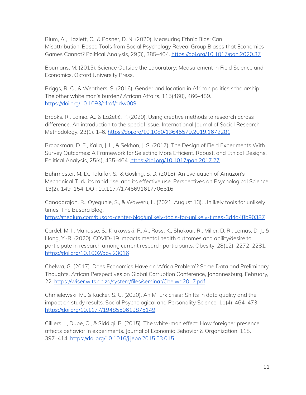Blum, A., Hazlett, C., & Posner, D. N. (2020). Measuring Ethnic Bias: Can Misattribution-Based Tools from Social Psychology Reveal Group Biases that Economics Games Cannot? Political Analysis, 29(3), 385–404. <https://doi.org/10.1017/pan.2020.37>

Boumans, M. (2015). Science Outside the Laboratory: Measurement in Field Science and Economics. Oxford University Press.

Briggs, R. C., & Weathers, S. (2016). Gender and location in African politics scholarship: The other white man's burden? African Affairs, 115(460), 466–489. <https://doi.org/10.1093/afraf/adw009>

Brooks, R., Lainio, A., & Lažetić, P. (2020). Using creative methods to research across difference. An introduction to the special issue. International Journal of Social Research Methodology, 23(1), 1–6. <https://doi.org/10.1080/13645579.2019.1672281>

Broockman, D. E., Kalla, J. L., & Sekhon, J. S. (2017). The Design of Field Experiments With Survey Outcomes: A Framework for Selecting More Efficient, Robust, and Ethical Designs. Political Analysis, 25(4), 435–464. <https://doi.org/10.1017/pan.2017.27>

Buhrmester, M. D., Talaifar, S., & Gosling, S. D. (2018). An evaluation of Amazon's Mechanical Turk, its rapid rise, and its effective use. Perspectives on Psychological Science, 13(2), 149–154. DOI: 10.1177/1745691617706516

Canagarajah, R., Oyegunle, S., & Waweru, L. (2021, August 13). Unlikely tools for unlikely times. The Busara Blog. <https://medium.com/busara-center-blog/unlikely-tools-for-unlikely-times-3d4d48b90387>

Cardel, M. I., Manasse, S., Krukowski, R. A., Ross, K., Shakour, R., Miller, D. R., Lemas, D. J., & Hong, Y.-R. (2020). COVID-19 impacts mental health outcomes and ability/desire to participate in research among current research participants. Obesity, 28(12), 2272–2281. <https://doi.org/10.1002/oby.23016>

Chelwa, G. (2017). Does Economics Have an 'Africa Problem'? Some Data and Preliminary Thoughts. African Perspectives on Global Corruption Conference, Johannesburg, February, 22. <https://wiser.wits.ac.za/system/files/seminar/Chelwa2017.pdf>

Chmielewski, M., & Kucker, S. C. (2020). An MTurk crisis? Shifts in data quality and the impact on study results. Social Psychological and Personality Science, 11(4), 464–473. <https://doi.org/10.1177/1948550619875149>

Cilliers, J., Dube, O., & Siddiqi, B. (2015). The white-man effect: How foreigner presence affects behavior in experiments. Journal of Economic Behavior & Organization, 118, 397–414. <https://doi.org/10.1016/j.jebo.2015.03.015>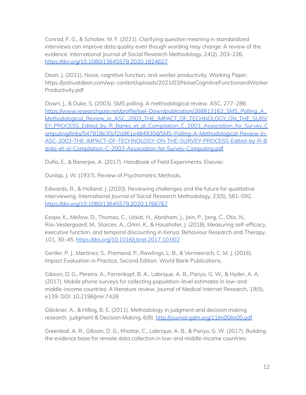Conrad, F. G., & Schober, M. F. (2021). Clarifying question meaning in standardized interviews can improve data quality even though wording may change: A review of the evidence. International Journal of Social Research Methodology, 24(2), 203–226. <https://doi.org/10.1080/13645579.2020.1824627>

Dean, J. (2021). Noise, cognitive function, and worker productivity. Working Paper. https://joshuatdean.com/wp-content/uploads/2021/03/NoiseCognitiveFunctionandWorker Productivity.pdf

Down, J., & Duke, S. (2003). SMS polling. A methodological review. ASC, 277–286. [https://www.researchgate.net/profile/Joel-Down/publication/268813162\\_SMS\\_Polling\\_A\\_](https://www.researchgate.net/profile/Joel-Down/publication/268813162_SMS_Polling_A_Methodological_Review_in_ASC_2003_THE_IMPACT_OF_TECHNOLOGY_ON_THE_SURVEY_PROCESS_Edited_by_R_Banks_et_al_Compilation_C_2003_Association_for_Survey_Computing/links/547818e30cf2a961e484930d/SMS-Polling-A-Methodological-Review-in-ASC-2003-THE-IMPACT-OF-TECHNOLOGY-ON-THE-SURVEY-PROCESS-Edited-by-R-Banks-et-al-Compilation-C-2003-Association-for-Survey-Computing.pdf) [Methodological\\_Review\\_in\\_ASC\\_2003\\_THE\\_IMPACT\\_OF\\_TECHNOLOGY\\_ON\\_THE\\_SURV](https://www.researchgate.net/profile/Joel-Down/publication/268813162_SMS_Polling_A_Methodological_Review_in_ASC_2003_THE_IMPACT_OF_TECHNOLOGY_ON_THE_SURVEY_PROCESS_Edited_by_R_Banks_et_al_Compilation_C_2003_Association_for_Survey_Computing/links/547818e30cf2a961e484930d/SMS-Polling-A-Methodological-Review-in-ASC-2003-THE-IMPACT-OF-TECHNOLOGY-ON-THE-SURVEY-PROCESS-Edited-by-R-Banks-et-al-Compilation-C-2003-Association-for-Survey-Computing.pdf) [EY\\_PROCESS\\_Edited\\_by\\_R\\_Banks\\_et\\_al\\_Compilation\\_C\\_2003\\_Association\\_for\\_Survey\\_C](https://www.researchgate.net/profile/Joel-Down/publication/268813162_SMS_Polling_A_Methodological_Review_in_ASC_2003_THE_IMPACT_OF_TECHNOLOGY_ON_THE_SURVEY_PROCESS_Edited_by_R_Banks_et_al_Compilation_C_2003_Association_for_Survey_Computing/links/547818e30cf2a961e484930d/SMS-Polling-A-Methodological-Review-in-ASC-2003-THE-IMPACT-OF-TECHNOLOGY-ON-THE-SURVEY-PROCESS-Edited-by-R-Banks-et-al-Compilation-C-2003-Association-for-Survey-Computing.pdf) [omputing/links/547818e30cf2a961e484930d/SMS-Polling-A-Methodological-Review-in-](https://www.researchgate.net/profile/Joel-Down/publication/268813162_SMS_Polling_A_Methodological_Review_in_ASC_2003_THE_IMPACT_OF_TECHNOLOGY_ON_THE_SURVEY_PROCESS_Edited_by_R_Banks_et_al_Compilation_C_2003_Association_for_Survey_Computing/links/547818e30cf2a961e484930d/SMS-Polling-A-Methodological-Review-in-ASC-2003-THE-IMPACT-OF-TECHNOLOGY-ON-THE-SURVEY-PROCESS-Edited-by-R-Banks-et-al-Compilation-C-2003-Association-for-Survey-Computing.pdf)[ASC-2003-THE-IMPACT-OF-TECHNOLOGY-ON-THE-SURVEY-PROCESS-Edited-by-R-B](https://www.researchgate.net/profile/Joel-Down/publication/268813162_SMS_Polling_A_Methodological_Review_in_ASC_2003_THE_IMPACT_OF_TECHNOLOGY_ON_THE_SURVEY_PROCESS_Edited_by_R_Banks_et_al_Compilation_C_2003_Association_for_Survey_Computing/links/547818e30cf2a961e484930d/SMS-Polling-A-Methodological-Review-in-ASC-2003-THE-IMPACT-OF-TECHNOLOGY-ON-THE-SURVEY-PROCESS-Edited-by-R-Banks-et-al-Compilation-C-2003-Association-for-Survey-Computing.pdf) [anks-et-al-Compilation-C-2003-Association-for-Survey-Computing.pdf](https://www.researchgate.net/profile/Joel-Down/publication/268813162_SMS_Polling_A_Methodological_Review_in_ASC_2003_THE_IMPACT_OF_TECHNOLOGY_ON_THE_SURVEY_PROCESS_Edited_by_R_Banks_et_al_Compilation_C_2003_Association_for_Survey_Computing/links/547818e30cf2a961e484930d/SMS-Polling-A-Methodological-Review-in-ASC-2003-THE-IMPACT-OF-TECHNOLOGY-ON-THE-SURVEY-PROCESS-Edited-by-R-Banks-et-al-Compilation-C-2003-Association-for-Survey-Computing.pdf)

Duflo, E., & Banerjee, A. (2017). Handbook of Field Experiments. Elsevier.

Dunlap, J. W. (1937). Review of Psychometric Methods.

Edwards, R., & Holland, J. (2020). Reviewing challenges and the future for qualitative interviewing. International Journal of Social Research Methodology, 23(5), 581–592. <https://doi.org/10.1080/13645579.2020.1766767>

Esopo, K., Mellow, D., Thomas, C., Uckat, H., Abraham, J., Jain, P., Jang, C., Otis, N., Riis-Vestergaard, M., Starcev, A., Orkin, K., & Haushofer, J. (2018). Measuring self-efficacy, executive function, and temporal discounting in Kenya. Behaviour Research and Therapy, 101, 30–45. <https://doi.org/10.1016/j.brat.2017.10.002>

Gertler, P. J., Martinez, S., Premand, P., Rawlings, L. B., & Vermeersch, C. M. J. (2016). Impact Evaluation in Practice, Second Edition. World Bank Publications.

Gibson, D. G., Pereira, A., Farrenkopf, B. A., Labrique, A. B., Pariyo, G. W., & Hyder, A. A. (2017). Mobile phone surveys for collecting population-level estimates in low-and middle-income countries: A literature review. Journal of Medical Internet Research, 19(5), e139. DOI: 10.2196/jmir.7428

Glöckner, A., & Hilbig, B. E. (2011). Methodology in judgment and decision making research. Judgment & Decision Making, 6(8). http://journal.sidm.org/11/m00/m00.pdf

Greenleaf, A. R., Gibson, D. G., Khattar, C., Labrique, A. B., & Pariyo, G. W. (2017). Building the evidence base for remote data collection in low-and middle-income countries: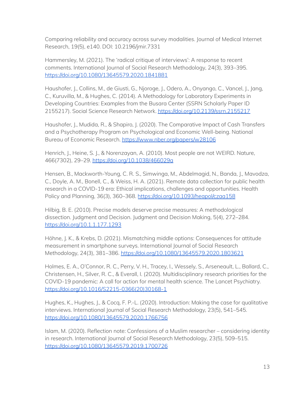Comparing reliability and accuracy across survey modalities. Journal of Medical Internet Research, 19(5), e140. DOI: 10.2196/jmir.7331

Hammersley, M. (2021). The 'radical critique of interviews': A response to recent comments. International Journal of Social Research Methodology, 24(3), 393–395. <https://doi.org/10.1080/13645579.2020.1841881>

Haushofer, J., Collins, M., de Giusti, G., Njoroge, J., Odero, A., Onyango, C., Vancel, J., Jang, C., Kuruvilla, M., & Hughes, C. (2014). A Methodology for Laboratory Experiments in Developing Countries: Examples from the Busara Center (SSRN Scholarly Paper ID 2155217). Social Science Research Network. <https://doi.org/10.2139/ssrn.2155217>

Haushofer, J., Mudida, R., & Shapiro, J. (2020). The Comparative Impact of Cash Transfers and a Psychotherapy Program on Psychological and Economic Well-being. National Bureau of Economic Research. <https://www.nber.org/papers/w28106>

Henrich, J., Heine, S. J., & Norenzayan, A. (2010). Most people are not WEIRD. Nature, 466(7302), 29–29. <https://doi.org/10.1038/466029a>

Hensen, B., Mackworth-Young, C. R. S., Simwinga, M., Abdelmagid, N., Banda, J., Mavodza, C., Doyle, A. M., Bonell, C., & Weiss, H. A. (2021). Remote data collection for public health research in a COVID-19 era: Ethical implications, challenges and opportunities. Health Policy and Planning, 36(3), 360–368. <https://doi.org/10.1093/heapol/czaa158>

Hilbig, B. E. (2010). Precise models deserve precise measures: A methodological dissection. Judgment and Decision. Judgment and Decision Making, 5(4), 272–284. <https://doi.org/10.1.1.177.1293>

Höhne, J. K., & Krebs, D. (2021). Mismatching middle options: Consequences for attitude measurement in smartphone surveys. International Journal of Social Research Methodology, 24(3), 381–386. <https://doi.org/10.1080/13645579.2020.1803621>

Holmes, E. A., O'Connor, R. C., Perry, V. H., Tracey, I., Wessely, S., Arseneault, L., Ballard, C., Christensen, H., Silver, R. C., & Everall, I. (2020). Multidisciplinary research priorities for the COVID-19 pandemic: A call for action for mental health science. The Lancet Psychiatry. [https://doi.org/10.1016/S2215-0366\(20\)30168-1](https://doi.org/10.1016/S2215-0366(20)30168-1)

Hughes, K., Hughes, J., & Cocq, F. P.-L. (2020). Introduction: Making the case for qualitative interviews. International Journal of Social Research Methodology, 23(5), 541–545. <https://doi.org/10.1080/13645579.2020.1766756>

Islam, M. (2020). Reflection note: Confessions of a Muslim researcher – considering identity in research. International Journal of Social Research Methodology, 23(5), 509–515. <https://doi.org/10.1080/13645579.2019.1700726>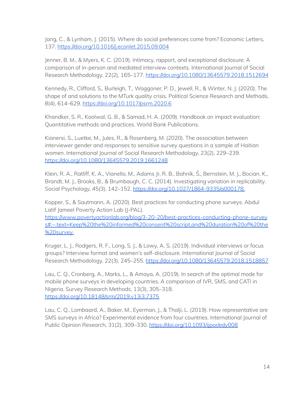Jang, C., & Lynham, J. (2015). Where do social preferences come from? Economic Letters, 137. <https://doi.org/10.1016/j.econlet.2015.09.004>

Jenner, B. M., & Myers, K. C. (2019). Intimacy, rapport, and exceptional disclosure: A comparison of in-person and mediated interview contexts. International Journal of Social Research Methodology, 22(2), 165–177. <https://doi.org/10.1080/13645579.2018.1512694>

Kennedy, R., Clifford, S., Burleigh, T., Waggoner, P. D., Jewell, R., & Winter, N. J. (2020). The shape of and solutions to the MTurk quality crisis. Political Science Research and Methods, 8(4), 614–629. <https://doi.org/10.1017/psrm.2020.6>

Khandker, S. R., Koolwal, G. B., & Samad, H. A. (2009). Handbook on impact evaluation: Quantitative methods and practices. World Bank Publications.

Kianersi, S., Luetke, M., Jules, R., & Rosenberg, M. (2020). The association between interviewer gender and responses to sensitive survey questions in a sample of Haitian women. International Journal of Social Research Methodology, 23(2), 229–239. <https://doi.org/10.1080/13645579.2019.1661248>

Klein, R. A., Ratliff, K. A., Vianello, M., Adams Jr, R. B., Bahník, Š., Bernstein, M. J., Bocian, K., Brandt, M. J., Brooks, B., & Brumbaugh, C. C. (2014). Investigating variation in replicability. Social Psychology, 45(3), 142-152. <https://doi.org/10.1027/1864-9335/a000178.>

Kopper, S., & Sautmann, A. (2020). Best practices for conducting phone surveys. Abdul Latif Jameel Poverty Action Lab (J-PAL).

[https://www.povertyactionlab.org/blog/3-20-20/best-practices-conducting-phone-survey](https://www.povertyactionlab.org/blog/3-20-20/best-practices-conducting-phone-surveys#:~:text=Keep%20the%20informed%20consent%20script,and%20duration%20of%20the%20survey.) [s#:~:text=Keep%20the%20informed%20consent%20script,and%20duration%20of%20the](https://www.povertyactionlab.org/blog/3-20-20/best-practices-conducting-phone-surveys#:~:text=Keep%20the%20informed%20consent%20script,and%20duration%20of%20the%20survey.) [%20survey.](https://www.povertyactionlab.org/blog/3-20-20/best-practices-conducting-phone-surveys#:~:text=Keep%20the%20informed%20consent%20script,and%20duration%20of%20the%20survey.)

Kruger, L. J., Rodgers, R. F., Long, S. J., & Lowy, A. S. (2019). Individual interviews or focus groups? Interview format and women's self-disclosure. International Journal of Social Research Methodology, 22(3), 245-255. <https://doi.org/10.1080/13645579.2018.1518857>

Lau, C. Q., Cronberg, A., Marks, L., & Amaya, A. (2019). In search of the optimal mode for mobile phone surveys in developing countries. A comparison of IVR, SMS, and CATI in NIgeria. Survey Research Methods, 13(3), 305–318. <https://doi.org/10.18148/srm/2019.v13i3.7375>

Lau, C. Q., Lombaard, A., Baker, M., Eyerman, J., & Thalji, L. (2019). How representative are SMS surveys in Africa? Experimental evidence from four countries. International Journal of Public Opinion Research, 31(2), 309–330. <https://doi.org/10.1093/ijpor/edy008>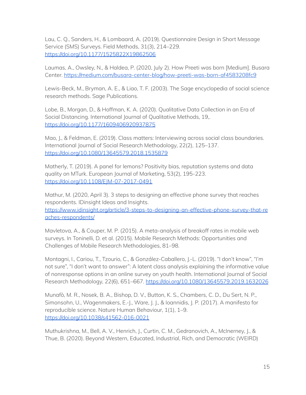Lau, C. Q., Sanders, H., & Lombaard, A. (2019). Questionnaire Design in Short Message Service (SMS) Surveys. Field Methods, 31(3), 214–229. <https://doi.org/10.1177/1525822X19862506>

Laumas, A., Owsley, N., & Haldea, P. (2020, July 2). How Preeti was born [Medium]. Busara Center. <https://medium.com/busara-center-blog/how-preeti-was-born-af4583208fc9>

Lewis-Beck, M., Bryman, A. E., & Liao, T. F. (2003). The Sage encyclopedia of social science research methods. Sage Publications.

Lobe, B., Morgan, D., & Hoffman, K. A. (2020). Qualitative Data Collection in an Era of Social Distancing. International Journal of Qualitative Methods, 19,. <https://doi.org/10.1177/1609406920937875>

Mao, J., & Feldman, E. (2019). Class matters: Interviewing across social class boundaries. International Journal of Social Research Methodology, 22(2), 125–137. <https://doi.org/10.1080/13645579.2018.1535879>

Matherly, T. (2019). A panel for lemons? Positivity bias, reputation systems and data quality on MTurk. European Journal of Marketing, 53(2), 195-223. <https://doi.org/10.1108/EJM-07-2017-0491>

Mathur, M. (2020, April 3). 3 steps to designing an effective phone survey that reaches respondents. IDinsight Ideas and Insights. [https://www.idinsight.org/article/3-steps-to-designing-an-effective-phone-survey-that-re](https://www.idinsight.org/article/3-steps-to-designing-an-effective-phone-survey-that-reaches-respondents/) [aches-respondents/](https://www.idinsight.org/article/3-steps-to-designing-an-effective-phone-survey-that-reaches-respondents/)

Mavletova, A., & Couper, M. P. (2015). A meta-analysis of breakoff rates in mobile web surveys. In Toninelli, D. et al. (2015). Mobile Research Methods: Opportunities and Challenges of Mobile Research Methodologies, 81–98.

Montagni, I., Cariou, T., Tzourio, C., & González-Caballero, J.-L. (2019). "I don't know", "I'm not sure", "I don't want to answer": A latent class analysis explaining the informative value of nonresponse options in an online survey on youth health. International Journal of Social Research Methodology, 22(6), 651-667. <https://doi.org/10.1080/13645579.2019.1632026>

Munafò, M. R., Nosek, B. A., Bishop, D. V., Button, K. S., Chambers, C. D., Du Sert, N. P., Simonsohn, U., Wagenmakers, E.-J., Ware, J. J., & Ioannidis, J. P. (2017). A manifesto for reproducible science. Nature Human Behaviour, 1(1), 1–9. <https://doi.org/10.1038/s41562-016-0021>

Muthukrishna, M., Bell, A. V., Henrich, J., Curtin, C. M., Gedranovich, A., McInerney, J., & Thue, B. (2020). Beyond Western, Educated, Industrial, Rich, and Democratic (WEIRD)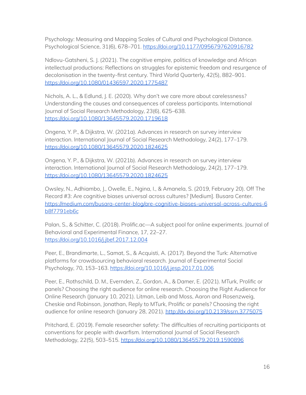Psychology: Measuring and Mapping Scales of Cultural and Psychological Distance. Psychological Science, 31(6), 678–701. <https://doi.org/10.1177/0956797620916782>

Ndlovu-Gatsheni, S. J. (2021). The cognitive empire, politics of knowledge and African intellectual productions: Reflections on struggles for epistemic freedom and resurgence of decolonisation in the twenty-first century. Third World Quarterly, 42(5), 882–901. <https://doi.org/10.1080/01436597.2020.1775487>

Nichols, A. L., & Edlund, J. E. (2020). Why don't we care more about carelessness? Understanding the causes and consequences of careless participants. International Journal of Social Research Methodology, 23(6), 625–638. <https://doi.org/10.1080/13645579.2020.1719618>

Ongena, Y. P., & Dijkstra, W. (2021a). Advances in research on survey interview interaction. International Journal of Social Research Methodology, 24(2), 177–179. <https://doi.org/10.1080/13645579.2020.1824625>

Ongena, Y. P., & Dijkstra, W. (2021b). Advances in research on survey interview interaction. International Journal of Social Research Methodology, 24(2), 177–179. <https://doi.org/10.1080/13645579.2020.1824625>

Owsley, N., Adhiambo, J., Owelle, E., Ngina, I., & Amanela, S. (2019, February 20). Off The Record #3: Are cognitive biases universal across cultures? [Medium]. Busara Center. [https://medium.com/busara-center-blog/are-cognitive-biases-universal-across-cultures-6](https://medium.com/busara-center-blog/are-cognitive-biases-universal-across-cultures-6b8f7791eb6c) [b8f7791eb6c](https://medium.com/busara-center-blog/are-cognitive-biases-universal-across-cultures-6b8f7791eb6c)

Palan, S., & Schitter, C. (2018). Prolific.ac—A subject pool for online experiments. Journal of Behavioral and Experimental Finance, 17, 22–27. <https://doi.org/10.1016/j.jbef.2017.12.004>

Peer, E., Brandimarte, L., Samat, S., & Acquisti, A. (2017). Beyond the Turk: Alternative platforms for crowdsourcing behavioral research. Journal of Experimental Social Psychology, 70, 153–163. <https://doi.org/10.1016/j.jesp.2017.01.006>

Peer, E., Rothschild, D. M., Evernden, Z., Gordon, A., & Damer, E. (2021). MTurk, Prolific or panels? Choosing the right audience for online research. Choosing the Right Audience for Online Research (January 10, 2021). Litman, Leib and Moss, Aaron and Rosenzweig, Cheskie and Robinson, Jonathan, Reply to MTurk, Prolific or panels? Choosing the right audience for online research (January 28, 2021). <http://dx.doi.org/10.2139/ssrn.3775075>

Pritchard, E. (2019). Female researcher safety: The difficulties of recruiting participants at conventions for people with dwarfism. International Journal of Social Research Methodology, 22(5), 503–515. <https://doi.org/10.1080/13645579.2019.1590896>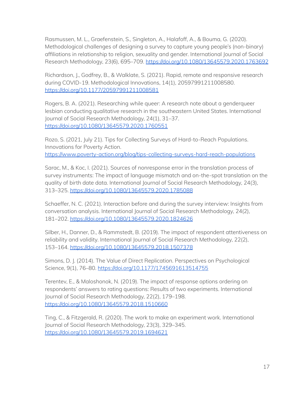Rasmussen, M. L., Graefenstein, S., Singleton, A., Halafoff, A., & Bouma, G. (2020). Methodological challenges of designing a survey to capture young people's (non-binary) affiliations in relationship to religion, sexuality and gender. International Journal of Social Research Methodology, 23(6), 695–709. <https://doi.org/10.1080/13645579.2020.1763692>

Richardson, J., Godfrey, B., & Walklate, S. (2021). Rapid, remote and responsive research during COVID-19. Methodological Innovations, 14(1), 20597991211008580. <https://doi.org/10.1177/20597991211008581>

Rogers, B. A. (2021). Researching while queer: A research note about a genderqueer lesbian conducting qualitative research in the southeastern United States. International Journal of Social Research Methodology, 24(1), 31–37. <https://doi.org/10.1080/13645579.2020.1760551>

Rozo, S. (2021, July 21). Tips for Collecting Surveys of Hard-to-Reach Populations. Innovations for Poverty Action. <https://www.poverty-action.org/blog/tips-collecting-surveys-hard-reach-populations>

Sarac, M., & Koc, I. (2021). Sources of nonresponse error in the translation process of survey instruments: The impact of language mismatch and on-the-spot translation on the quality of birth date data. International Journal of Social Research Methodology, 24(3), 313–325. <https://doi.org/10.1080/13645579.2020.1785088>

Schaeffer, N. C. (2021). Interaction before and during the survey interview: Insights from conversation analysis. International Journal of Social Research Methodology, 24(2), 181–202. <https://doi.org/10.1080/13645579.2020.1824626>

Silber, H., Danner, D., & Rammstedt, B. (2019). The impact of respondent attentiveness on reliability and validity. International Journal of Social Research Methodology, 22(2), 153–164. <https://doi.org/10.1080/13645579.2018.1507378>

Simons, D. J. (2014). The Value of Direct Replication. Perspectives on Psychological Science, 9(1), 76-80. <https://doi.org/10.1177/1745691613514755>

Terentev, E., & Maloshonok, N. (2019). The impact of response options ordering on respondents' answers to rating questions: Results of two experiments. International Journal of Social Research Methodology, 22(2), 179–198. <https://doi.org/10.1080/13645579.2018.1510660>

Ting, C., & Fitzgerald, R. (2020). The work to make an experiment work. International Journal of Social Research Methodology, 23(3), 329–345. <https://doi.org/10.1080/13645579.2019.1694621>